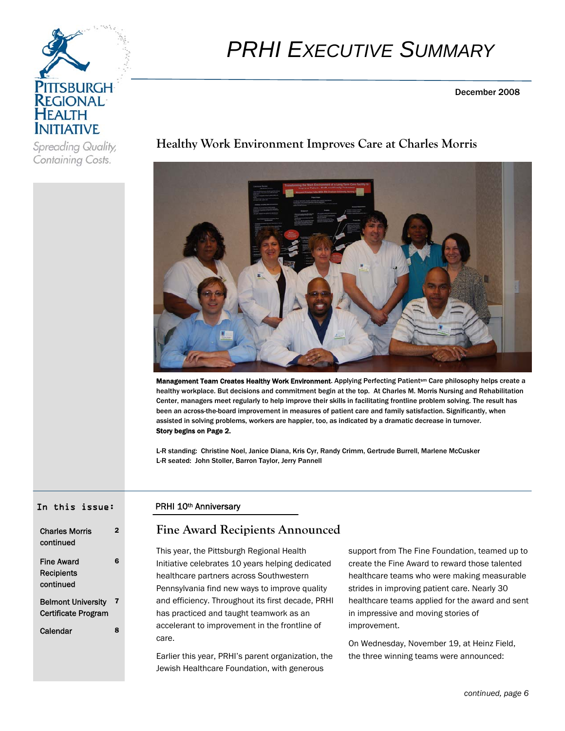

# *PRHI EXECUTIVE SUMMARY*

December 2008

Spreading Quality, Containing Costs.

# **Healthy Work Environment Improves Care at Charles Morris**



Management Team Creates Healthy Work Environment. Applying Perfecting Patient<sup>sm</sup> Care philosophy helps create a healthy workplace. But decisions and commitment begin at the top. At Charles M. Morris Nursing and Rehabilitation Center, managers meet regularly to help improve their skills in facilitating frontline problem solving. The result has been an across-the-board improvement in measures of patient care and family satisfaction. Significantly, when assisted in solving problems, workers are happier, too, as indicated by a dramatic decrease in turnover. Story begins on Page 2.

L-R standing: Christine Noel, Janice Diana, Kris Cyr, Randy Crimm, Gertrude Burrell, Marlene McCusker L-R seated: John Stoller, Barron Taylor, Jerry Pannell

#### In this issue:

| <b>Charles Morris</b><br>continued                      |   |
|---------------------------------------------------------|---|
| Fine Award<br>Recipients<br>continued                   | Բ |
| <b>Belmont University</b><br><b>Certificate Program</b> | 7 |
| Calendar                                                | я |

## PRHI 10th Anniversary

## **Fine Award Recipients Announced**

This year, the Pittsburgh Regional Health Initiative celebrates 10 years helping dedicated healthcare partners across Southwestern Pennsylvania find new ways to improve quality and efficiency. Throughout its first decade, PRHI has practiced and taught teamwork as an accelerant to improvement in the frontline of care.

Earlier this year, PRHI's parent organization, the Jewish Healthcare Foundation, with generous

support from The Fine Foundation, teamed up to create the Fine Award to reward those talented healthcare teams who were making measurable strides in improving patient care. Nearly 30 healthcare teams applied for the award and sent in impressive and moving stories of improvement.

On Wednesday, November 19, at Heinz Field, the three winning teams were announced: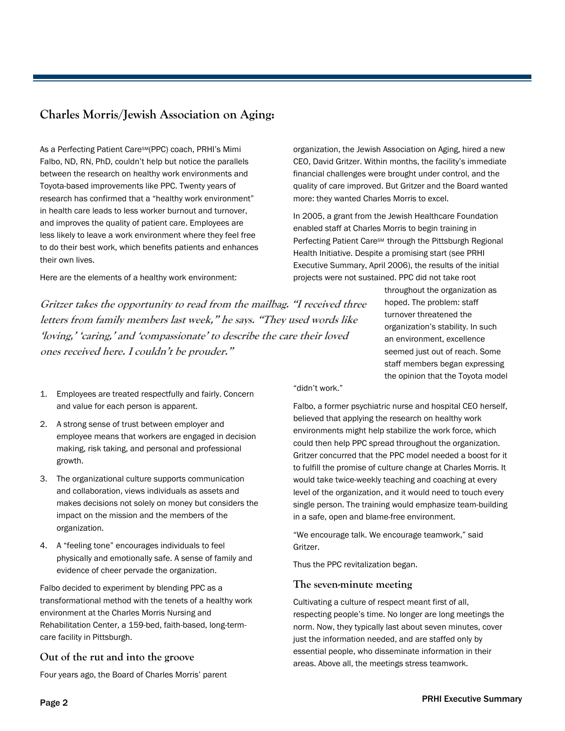# **Charles Morris/Jewish Association on Aging:**

As a Perfecting Patient Care<sup>SM</sup>(PPC) coach, PRHI's Mimi Falbo, ND, RN, PhD, couldn't help but notice the parallels between the research on healthy work environments and Toyota-based improvements like PPC. Twenty years of research has confirmed that a "healthy work environment" in health care leads to less worker burnout and turnover, and improves the quality of patient care. Employees are less likely to leave a work environment where they feel free to do their best work, which benefits patients and enhances their own lives.

Here are the elements of a healthy work environment:

**Gritzer takes the opportunity to read from the mailbag. "I received three letters from family members last week," he says. "They used words like 'loving,' 'caring,' and 'compassionate' to describe the care their loved ones received here. I couldn't be prouder."**

- 1. Employees are treated respectfully and fairly. Concern and value for each person is apparent.
- 2. A strong sense of trust between employer and employee means that workers are engaged in decision making, risk taking, and personal and professional growth.
- 3. The organizational culture supports communication and collaboration, views individuals as assets and makes decisions not solely on money but considers the impact on the mission and the members of the organization.
- 4. A "feeling tone" encourages individuals to feel physically and emotionally safe. A sense of family and evidence of cheer pervade the organization.

Falbo decided to experiment by blending PPC as a transformational method with the tenets of a healthy work environment at the Charles Morris Nursing and Rehabilitation Center, a 159-bed, faith-based, long-termcare facility in Pittsburgh.

## **Out of the rut and into the groove**

Four years ago, the Board of Charles Morris' parent

organization, the Jewish Association on Aging, hired a new CEO, David Gritzer. Within months, the facility's immediate financial challenges were brought under control, and the quality of care improved. But Gritzer and the Board wanted more: they wanted Charles Morris to excel.

In 2005, a grant from the Jewish Healthcare Foundation enabled staff at Charles Morris to begin training in Perfecting Patient Care<sup>sM</sup> through the Pittsburgh Regional Health Initiative. Despite a promising start (see PRHI Executive Summary, April 2006), the results of the initial projects were not sustained. PPC did not take root

> throughout the organization as hoped. The problem: staff turnover threatened the organization's stability. In such an environment, excellence seemed just out of reach. Some staff members began expressing the opinion that the Toyota model

"didn't work."

Falbo, a former psychiatric nurse and hospital CEO herself, believed that applying the research on healthy work environments might help stabilize the work force, which could then help PPC spread throughout the organization. Gritzer concurred that the PPC model needed a boost for it to fulfill the promise of culture change at Charles Morris. It would take twice-weekly teaching and coaching at every level of the organization, and it would need to touch every single person. The training would emphasize team-building in a safe, open and blame-free environment.

"We encourage talk. We encourage teamwork," said Gritzer.

Thus the PPC revitalization began.

#### **The seven-minute meeting**

Cultivating a culture of respect meant first of all, respecting people's time. No longer are long meetings the norm. Now, they typically last about seven minutes, cover just the information needed, and are staffed only by essential people, who disseminate information in their areas. Above all, the meetings stress teamwork.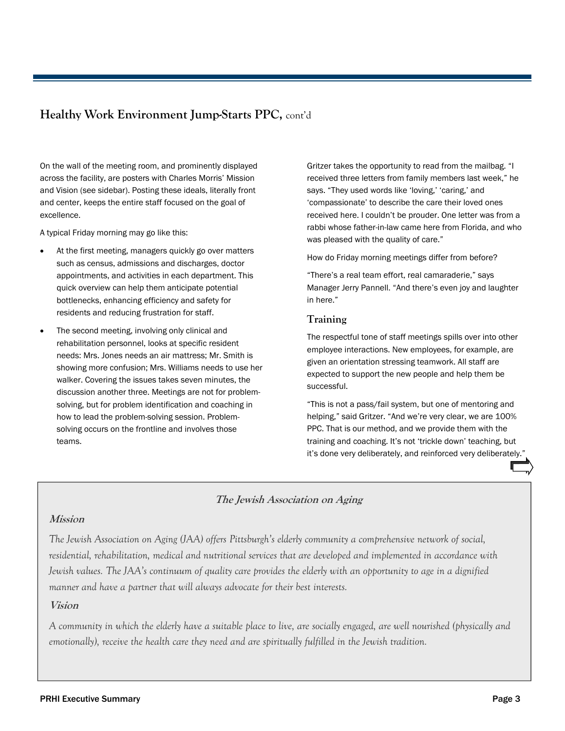# **Healthy Work Environment Jump-Starts PPC,** cont'd

On the wall of the meeting room, and prominently displayed across the facility, are posters with Charles Morris' Mission and Vision (see sidebar). Posting these ideals, literally front and center, keeps the entire staff focused on the goal of excellence.

A typical Friday morning may go like this:

- At the first meeting, managers quickly go over matters such as census, admissions and discharges, doctor appointments, and activities in each department. This quick overview can help them anticipate potential bottlenecks, enhancing efficiency and safety for residents and reducing frustration for staff.
- The second meeting, involving only clinical and rehabilitation personnel, looks at specific resident needs: Mrs. Jones needs an air mattress; Mr. Smith is showing more confusion; Mrs. Williams needs to use her walker. Covering the issues takes seven minutes, the discussion another three. Meetings are not for problemsolving, but for problem identification and coaching in how to lead the problem-solving session. Problemsolving occurs on the frontline and involves those teams.

Gritzer takes the opportunity to read from the mailbag. "I received three letters from family members last week," he says. "They used words like 'loving,' 'caring,' and 'compassionate' to describe the care their loved ones received here. I couldn't be prouder. One letter was from a rabbi whose father-in-law came here from Florida, and who was pleased with the quality of care."

How do Friday morning meetings differ from before?

"There's a real team effort, real camaraderie," says Manager Jerry Pannell. "And there's even joy and laughter in here."

#### **Training**

The respectful tone of staff meetings spills over into other employee interactions. New employees, for example, are given an orientation stressing teamwork. All staff are expected to support the new people and help them be successful.

"This is not a pass/fail system, but one of mentoring and helping," said Gritzer. "And we're very clear, we are 100% PPC. That is our method, and we provide them with the training and coaching. It's not 'trickle down' teaching, but it's done very deliberately, and reinforced very deliberately.

## **The Jewish Association on Aging**

## **Mission**

*The Jewish Association on Aging (JAA) offers Pittsburgh's elderly community a comprehensive network of social, residential, rehabilitation, medical and nutritional services that are developed and implemented in accordance with Jewish values. The JAA's continuum of quality care provides the elderly with an opportunity to age in a dignified manner and have a partner that will always advocate for their best interests.* 

## **Vision**

*A community in which the elderly have a suitable place to live, are socially engaged, are well nourished (physically and emotionally), receive the health care they need and are spiritually fulfilled in the Jewish tradition.*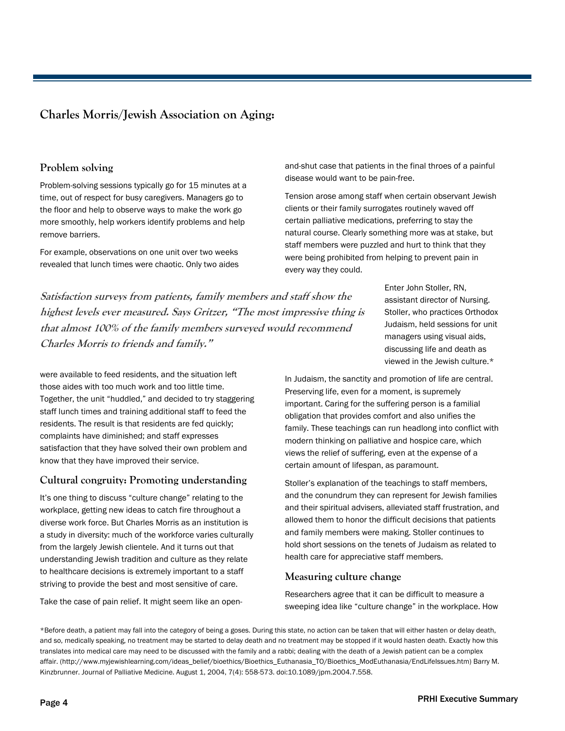## **Charles Morris/Jewish Association on Aging:**

#### **Problem solving**

Problem-solving sessions typically go for 15 minutes at a time, out of respect for busy caregivers. Managers go to the floor and help to observe ways to make the work go more smoothly, help workers identify problems and help remove barriers.

For example, observations on one unit over two weeks revealed that lunch times were chaotic. Only two aides

**Satisfaction surveys from patients, family members and staff show the highest levels ever measured. Says Gritzer, "The most impressive thing is that almost 100% of the family members surveyed would recommend Charles Morris to friends and family."**

Enter John Stoller, RN, assistant director of Nursing. Stoller, who practices Orthodox Judaism, held sessions for unit managers using visual aids, discussing life and death as viewed in the Jewish culture.\*

were available to feed residents, and the situation left those aides with too much work and too little time. Together, the unit "huddled," and decided to try staggering staff lunch times and training additional staff to feed the residents. The result is that residents are fed quickly; complaints have diminished; and staff expresses satisfaction that they have solved their own problem and know that they have improved their service.

## **Cultural congruity: Promoting understanding**

It's one thing to discuss "culture change" relating to the workplace, getting new ideas to catch fire throughout a diverse work force. But Charles Morris as an institution is a study in diversity: much of the workforce varies culturally from the largely Jewish clientele. And it turns out that understanding Jewish tradition and culture as they relate to healthcare decisions is extremely important to a staff striving to provide the best and most sensitive of care.

Take the case of pain relief. It might seem like an open-

In Judaism, the sanctity and promotion of life are central. Preserving life, even for a moment, is supremely important. Caring for the suffering person is a familial obligation that provides comfort and also unifies the family. These teachings can run headlong into conflict with modern thinking on palliative and hospice care, which views the relief of suffering, even at the expense of a certain amount of lifespan, as paramount.

and-shut case that patients in the final throes of a painful

Tension arose among staff when certain observant Jewish clients or their family surrogates routinely waved off certain palliative medications, preferring to stay the natural course. Clearly something more was at stake, but staff members were puzzled and hurt to think that they were being prohibited from helping to prevent pain in

disease would want to be pain-free.

every way they could.

Stoller's explanation of the teachings to staff members, and the conundrum they can represent for Jewish families and their spiritual advisers, alleviated staff frustration, and allowed them to honor the difficult decisions that patients and family members were making. Stoller continues to hold short sessions on the tenets of Judaism as related to health care for appreciative staff members.

#### **Measuring culture change**

Researchers agree that it can be difficult to measure a sweeping idea like "culture change" in the workplace. How

\*Before death, a patient may fall into the category of being a goses. During this state, no action can be taken that will either hasten or delay death, and so, medically speaking, no treatment may be started to delay death and no treatment may be stopped if it would hasten death. Exactly how this translates into medical care may need to be discussed with the family and a rabbi; dealing with the death of a Jewish patient can be a complex affair. (http://www.myjewishlearning.com/ideas\_belief/bioethics/Bioethics\_Euthanasia\_TO/Bioethics\_ModEuthanasia/EndLifeIssues.htm) Barry M. Kinzbrunner. Journal of Palliative Medicine. August 1, 2004, 7(4): 558-573. doi:10.1089/jpm.2004.7.558.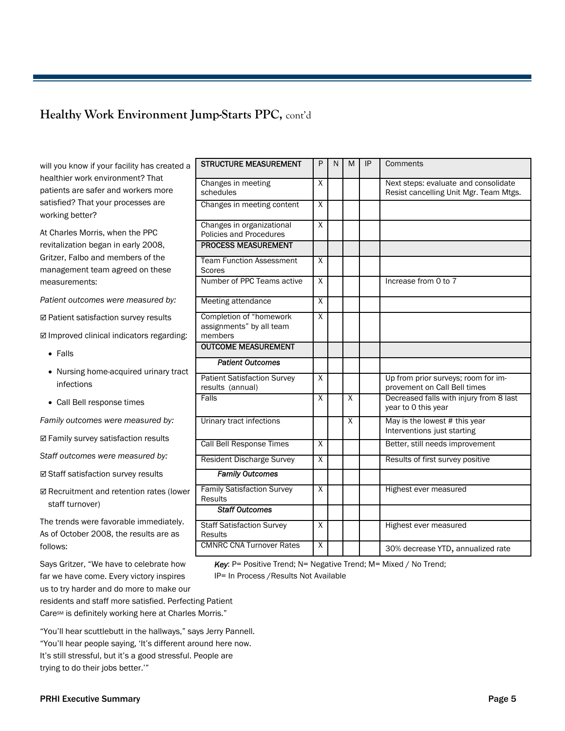# **Healthy Work Environment Jump-Starts PPC,** cont'd

| will you know if your facility has created a<br>healthier work environment? That | <b>STRUCTURE MEASUREMENT</b>                           | P                       | N | м                       | IP | Comments                                                                       |
|----------------------------------------------------------------------------------|--------------------------------------------------------|-------------------------|---|-------------------------|----|--------------------------------------------------------------------------------|
| patients are safer and workers more                                              | Changes in meeting<br>schedules                        | $\overline{X}$          |   |                         |    | Next steps: evaluate and consolidate<br>Resist cancelling Unit Mgr. Team Mtgs. |
| satisfied? That your processes are<br>working better?                            | Changes in meeting content                             | $\overline{X}$          |   |                         |    |                                                                                |
| At Charles Morris, when the PPC                                                  | Changes in organizational<br>Policies and Procedures   | X                       |   |                         |    |                                                                                |
| revitalization began in early 2008,                                              | <b>PROCESS MEASUREMENT</b>                             |                         |   |                         |    |                                                                                |
| Gritzer, Falbo and members of the<br>management team agreed on these             | <b>Team Function Assessment</b><br>Scores              | $\overline{X}$          |   |                         |    |                                                                                |
| measurements:                                                                    | Number of PPC Teams active                             | $\overline{X}$          |   |                         |    | Increase from 0 to 7                                                           |
| Patient outcomes were measured by:                                               | Meeting attendance                                     | $\overline{X}$          |   |                         |    |                                                                                |
| ☑ Patient satisfaction survey results                                            | Completion of "homework<br>assignments" by all team    | $\overline{X}$          |   |                         |    |                                                                                |
| ☑ Improved clinical indicators regarding:                                        | members                                                |                         |   |                         |    |                                                                                |
| $\bullet$ Falls                                                                  | <b>OUTCOME MEASUREMENT</b>                             |                         |   |                         |    |                                                                                |
| • Nursing home-acquired urinary tract                                            | <b>Patient Outcomes</b>                                |                         |   |                         |    |                                                                                |
| infections                                                                       | <b>Patient Satisfaction Survey</b><br>results (annual) | $\overline{X}$          |   |                         |    | Up from prior surveys; room for im-<br>provement on Call Bell times            |
| • Call Bell response times                                                       | Falls                                                  | $\overline{X}$          |   | $\overline{\mathsf{x}}$ |    | Decreased falls with injury from 8 last<br>year to 0 this year                 |
| Family outcomes were measured by:                                                | Urinary tract infections                               |                         |   | X                       |    | May is the lowest # this year<br>Interventions just starting                   |
| ☑ Family survey satisfaction results                                             | <b>Call Bell Response Times</b>                        | $\overline{X}$          |   |                         |    | Better, still needs improvement                                                |
| Staff outcomes were measured by:                                                 | <b>Resident Discharge Survey</b>                       | $\overline{X}$          |   |                         |    | Results of first survey positive                                               |
| <b>Ø Staff satisfaction survey results</b>                                       | <b>Family Outcomes</b>                                 |                         |   |                         |    |                                                                                |
| ☑ Recruitment and retention rates (lower<br>staff turnover)                      | <b>Family Satisfaction Survey</b><br>Results           | $\overline{X}$          |   |                         |    | Highest ever measured                                                          |
|                                                                                  | <b>Staff Outcomes</b>                                  |                         |   |                         |    |                                                                                |
| The trends were favorable immediately.<br>As of October 2008, the results are as | <b>Staff Satisfaction Survey</b><br><b>Results</b>     | $\overline{\mathsf{x}}$ |   |                         |    | Highest ever measured                                                          |
| follows:                                                                         | <b>CMNRC CNA Turnover Rates</b>                        | $\overline{X}$          |   |                         |    | 30% decrease YTD, annualized rate                                              |

*Key*: P= Positive Trend; N= Negative Trend; M= Mixed / No Trend; IP= In Process /Results Not Available

us to try harder and do more to make our residents and staff more satisfied. Perfecting Patient Care<sup>sm</sup> is definitely working here at Charles Morris."

Says Gritzer, "We have to celebrate how far we have come. Every victory inspires

"You'll hear scuttlebutt in the hallways," says Jerry Pannell. "You'll hear people saying, 'It's different around here now. It's still stressful, but it's a good stressful. People are trying to do their jobs better.'"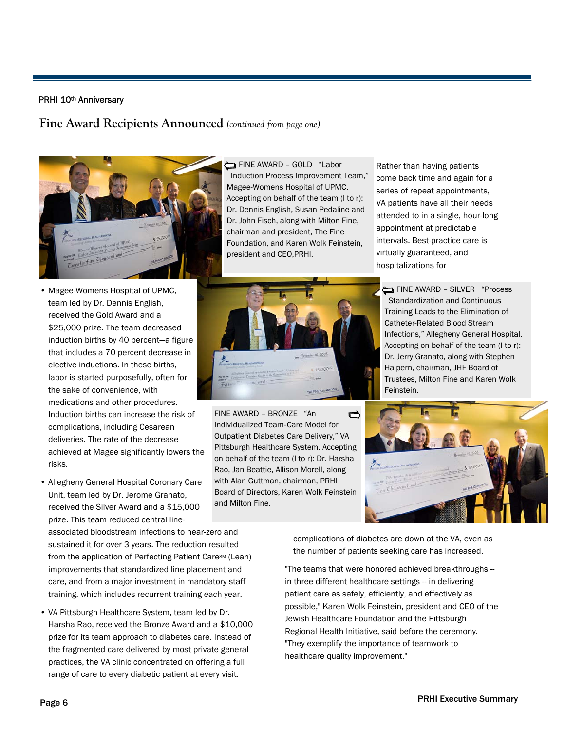#### PRHI 10<sup>th</sup> Anniversary

#### **Fine Award Recipients Announced** *(continued from page one)*



- Magee-Womens Hospital of UPMC, team led by Dr. Dennis English, received the Gold Award and a \$25,000 prize. The team decreased induction births by 40 percent—a figure that includes a 70 percent decrease in elective inductions. In these births, labor is started purposefully, often for the sake of convenience, with medications and other procedures. Induction births can increase the risk of complications, including Cesarean deliveries. The rate of the decrease achieved at Magee significantly lowers the
- Allegheny General Hospital Coronary Care Unit, team led by Dr. Jerome Granato, received the Silver Award and a \$15,000 prize. This team reduced central line-

associated bloodstream infections to near-zero and sustained it for over 3 years. The reduction resulted from the application of Perfecting Patient Care<sup>SM</sup> (Lean) improvements that standardized line placement and care, and from a major investment in mandatory staff training, which includes recurrent training each year.

• VA Pittsburgh Healthcare System, team led by Dr. Harsha Rao, received the Bronze Award and a \$10,000 prize for its team approach to diabetes care. Instead of the fragmented care delivered by most private general practices, the VA clinic concentrated on offering a full range of care to every diabetic patient at every visit.

FINE AWARD - GOLD "Labor Induction Process Improvement Team," Magee-Womens Hospital of UPMC. Accepting on behalf of the team (l to r): Dr. Dennis English, Susan Pedaline and Dr. John Fisch, along with Milton Fine, chairman and president, The Fine Foundation, and Karen Wolk Feinstein, president and CEO,PRHI.



FINE AWARD – BRONZE "An d Individualized Team‐Care Model for Outpatient Diabetes Care Delivery," VA Pittsburgh Healthcare System. Accepting on behalf of the team (l to r): Dr. Harsha Rao, Jan Beattie, Allison Morell, along with Alan Guttman, chairman, PRHI Board of Directors, Karen Wolk Feinstein and Milton Fine.

Rather than having patients come back time and again for a series of repeat appointments, VA patients have all their needs attended to in a single, hour-long appointment at predictable intervals. Best-practice care is virtually guaranteed, and hospitalizations for

FINE AWARD – SILVER "Process Standardization and Continuous Training Leads to the Elimination of Catheter-Related Blood Stream Infections," Allegheny General Hospital. Accepting on behalf of the team (l to r): Dr. Jerry Granato, along with Stephen Halpern, chairman, JHF Board of Trustees, Milton Fine and Karen Wolk Feinstein.



complications of diabetes are down at the VA, even as the number of patients seeking care has increased.

"The teams that were honored achieved breakthroughs - in three different healthcare settings -- in delivering patient care as safely, efficiently, and effectively as possible," Karen Wolk Feinstein, president and CEO of the Jewish Healthcare Foundation and the Pittsburgh Regional Health Initiative, said before the ceremony. "They exemplify the importance of teamwork to healthcare quality improvement."

risks.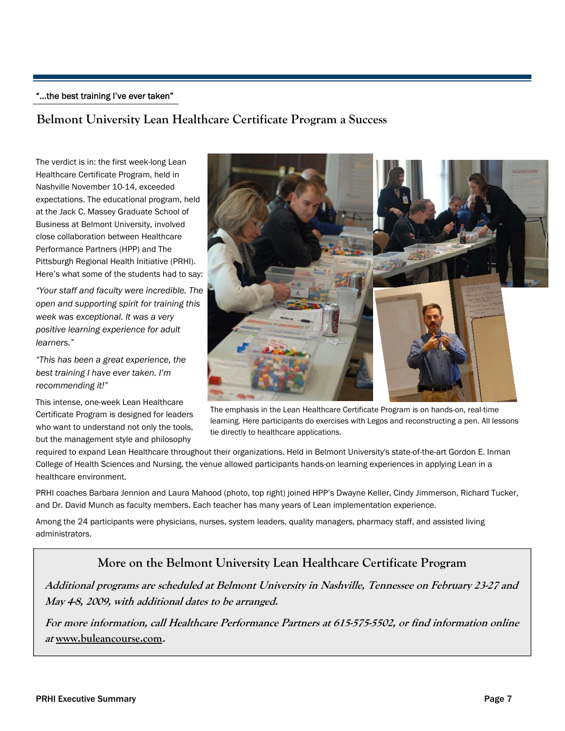#### "...the best training I've ever taken"

## **Belmont University Lean Healthcare Certificate Program a Success**

The verdict is in: the first week-long Lean Healthcare Certificate Program, held in Nashville November 10-14, exceeded expectations. The educational program, held at the Jack C. Massey Graduate School of Business at Belmont University, involved close collaboration between Healthcare Performance Partners (HPP) and The Pittsburgh Regional Health Initiative (PRHI). Here's what some of the students had to say:

*"Your staff and faculty were incredible. The open and supporting spirit for training this week was exceptional. It was a very positive learning experience for adult learners."* 

*"This has been a great experience, the best training I have ever taken. I'm recommending it!"* 

This intense, one-week Lean Healthcare Certificate Program is designed for leaders who want to understand not only the tools, but the management style and philosophy



The emphasis in the Lean Healthcare Certificate Program is on hands-on, real-time learning. Here participants do exercises with Legos and reconstructing a pen. All lessons tie directly to healthcare applications.

required to expand Lean Healthcare throughout their organizations. Held in Belmont University's state-of-the-art Gordon E. Inman College of Health Sciences and Nursing, the venue allowed participants hands-on learning experiences in applying Lean in a healthcare environment.

PRHI coaches Barbara Jennion and Laura Mahood (photo, top right) joined HPP's Dwayne Keller, Cindy Jimmerson, Richard Tucker, and Dr. David Munch as faculty members. Each teacher has many years of Lean implementation experience.

Among the 24 participants were physicians, nurses, system leaders, quality managers, pharmacy staff, and assisted living administrators.

## **More on the Belmont University Lean Healthcare Certificate Program**

**Additional programs are scheduled at Belmont University in Nashville, Tennessee on February 23-27 and May 4-8, 2009, with additional dates to be arranged.** 

**For more information, call Healthcare Performance Partners at 615-575-5502, or find information online at www.buleancourse.com.**